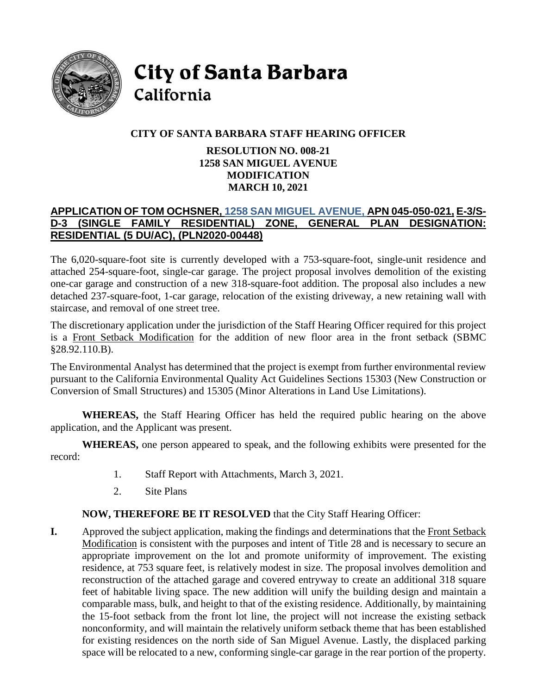

**City of Santa Barbara** California

# **CITY OF SANTA BARBARA STAFF HEARING OFFICER**

### **RESOLUTION NO. 008-21 1258 SAN MIGUEL AVENUE MODIFICATION MARCH 10, 2021**

## **APPLICATION OF TOM OCHSNER, [1258 SAN MIGUEL AVENUE,](https://www.santabarbaraca.gov/civicax/filebank/blobdload.aspx?BlobID=234403) APN 045-050-021, E-3/S-D-3 (SINGLE FAMILY RESIDENTIAL) ZONE, GENERAL RESIDENTIAL (5 DU/AC), (PLN2020-00448)**

The 6,020-square-foot site is currently developed with a 753-square-foot, single-unit residence and attached 254-square-foot, single-car garage. The project proposal involves demolition of the existing one-car garage and construction of a new 318-square-foot addition. The proposal also includes a new detached 237-square-foot, 1-car garage, relocation of the existing driveway, a new retaining wall with staircase, and removal of one street tree.

The discretionary application under the jurisdiction of the Staff Hearing Officer required for this project is a Front Setback Modification for the addition of new floor area in the front setback (SBMC §28.92.110.B).

The Environmental Analyst has determined that the project is exempt from further environmental review pursuant to the California Environmental Quality Act Guidelines Sections 15303 (New Construction or Conversion of Small Structures) and 15305 (Minor Alterations in Land Use Limitations).

**WHEREAS,** the Staff Hearing Officer has held the required public hearing on the above application, and the Applicant was present.

**WHEREAS,** one person appeared to speak, and the following exhibits were presented for the record:

- 1. Staff Report with Attachments, March 3, 2021.
- 2. Site Plans

## **NOW, THEREFORE BE IT RESOLVED** that the City Staff Hearing Officer:

**I.** Approved the subject application, making the findings and determinations that the Front Setback Modification is consistent with the purposes and intent of Title 28 and is necessary to secure an appropriate improvement on the lot and promote uniformity of improvement. The existing residence, at 753 square feet, is relatively modest in size. The proposal involves demolition and reconstruction of the attached garage and covered entryway to create an additional 318 square feet of habitable living space. The new addition will unify the building design and maintain a comparable mass, bulk, and height to that of the existing residence. Additionally, by maintaining the 15-foot setback from the front lot line, the project will not increase the existing setback nonconformity, and will maintain the relatively uniform setback theme that has been established for existing residences on the north side of San Miguel Avenue. Lastly, the displaced parking space will be relocated to a new, conforming single-car garage in the rear portion of the property.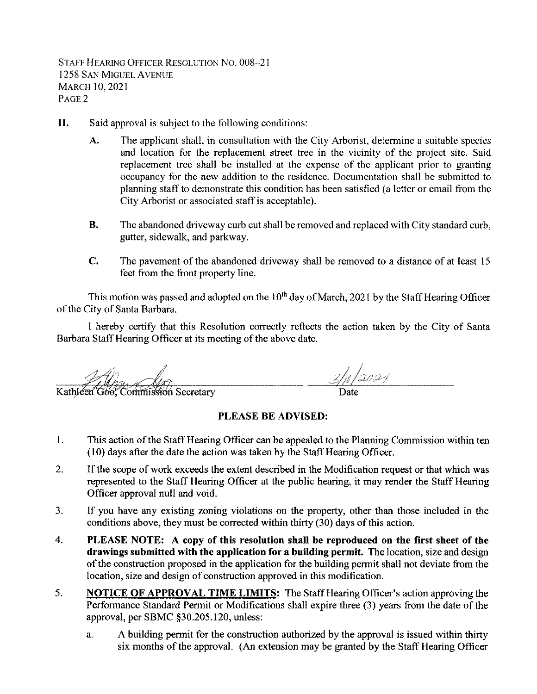STAFF HEARING OFFICER RESOLUTION NO. 008-21 **1258 SAN MIGUEL AVENUE MARCH 10, 2021** PAGE<sub>2</sub>

- II. Said approval is subject to the following conditions:
	- A. The applicant shall, in consultation with the City Arborist, determine a suitable species and location for the replacement street tree in the vicinity of the project site. Said replacement tree shall be installed at the expense of the applicant prior to granting occupancy for the new addition to the residence. Documentation shall be submitted to planning staff to demonstrate this condition has been satisfied (a letter or email from the City Arborist or associated staff is acceptable).
	- **B.** The abandoned driveway curb cut shall be removed and replaced with City standard curb, gutter, sidewalk, and parkway.
	- $C_{\bullet}$ The pavement of the abandoned driveway shall be removed to a distance of at least 15 feet from the front property line.

This motion was passed and adopted on the 10<sup>th</sup> day of March, 2021 by the Staff Hearing Officer of the City of Santa Barbara.

I hereby certify that this Resolution correctly reflects the action taken by the City of Santa Barbara Staff Hearing Officer at its meeting of the above date.

 $3/1/2021$ Kathleen Goo, Commission Secretary

#### PLEASE BE ADVISED:

- $1<sub>1</sub>$ This action of the Staff Hearing Officer can be appealed to the Planning Commission within ten (10) days after the date the action was taken by the Staff Hearing Officer.
- $\overline{2}$ . If the scope of work exceeds the extent described in the Modification request or that which was represented to the Staff Hearing Officer at the public hearing, it may render the Staff Hearing Officer approval null and void.
- If you have any existing zoning violations on the property, other than those included in the  $3<sub>1</sub>$ conditions above, they must be corrected within thirty (30) days of this action.
- $4.$ PLEASE NOTE: A copy of this resolution shall be reproduced on the first sheet of the drawings submitted with the application for a building permit. The location, size and design of the construction proposed in the application for the building permit shall not deviate from the location, size and design of construction approved in this modification.
- 5. **NOTICE OF APPROVAL TIME LIMITS:** The Staff Hearing Officer's action approving the Performance Standard Permit or Modifications shall expire three (3) years from the date of the approval, per SBMC §30.205.120, unless:
	- A building permit for the construction authorized by the approval is issued within thirty a. six months of the approval. (An extension may be granted by the Staff Hearing Officer